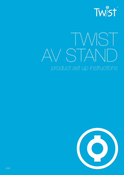

# TWIST AV STAND *product set up instructions*

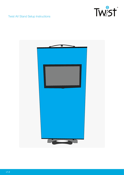

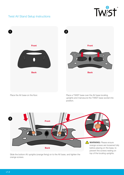



uprights and manoeuvre the TWIST base socket into position.



Slide the bottom AV uprights (orange fixing) on to the AV base, and tighten the orange screws.

**WARNING:** Please ensure orange screws are loosened fully before placing on the base, to prevent the screws resting on top of the locating uprights.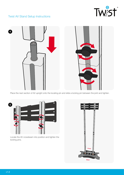



Place the next section of AV upright onto the locating pin and slide a locking pin between the joint and tighten.



Locate the AV crossbeam into position and tighten the locking pins.

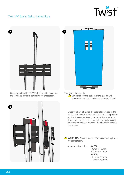



Continue to build the TWIST stand; making sure that the TWIST upright sits behind the AV crossbeam.



Then hang the graphic.

**!** But dont hook the bottom of the graphic until the screen has been positioned on the AV Stand.

Once you have attached the brackets provided to the TV/Monitor screen, manoeuvre the screen into position so that the two brackets sit on top of the crossbeam. Once the screen is in position, further alterations can be made for cables if required. Then hook the graphic to the base.



**WARNING:** Please check the TV vesa mounting holes for compatability.

Vesa mounting holes: **AV 200:**

100mm x 100mm 200mm x 200mm **AV 400:** 400mm x 200mm 400mm x 400mm